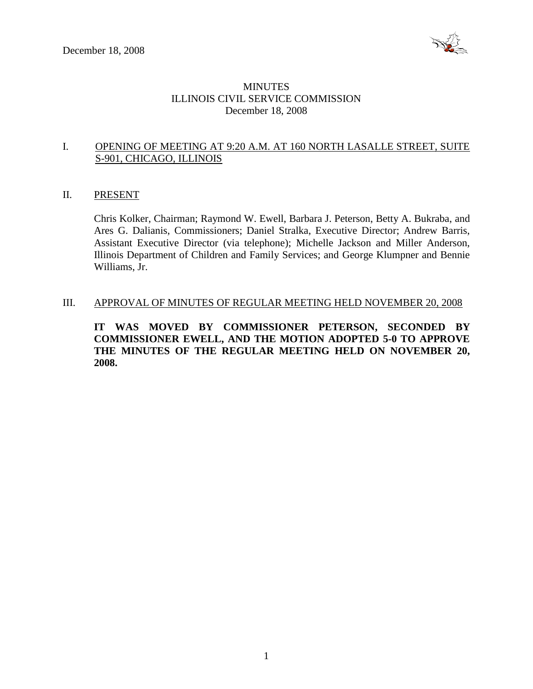

# **MINUTES** ILLINOIS CIVIL SERVICE COMMISSION December 18, 2008

# I. OPENING OF MEETING AT 9:20 A.M. AT 160 NORTH LASALLE STREET, SUITE S-901, CHICAGO, ILLINOIS

### II. PRESENT

Chris Kolker, Chairman; Raymond W. Ewell, Barbara J. Peterson, Betty A. Bukraba, and Ares G. Dalianis, Commissioners; Daniel Stralka, Executive Director; Andrew Barris, Assistant Executive Director (via telephone); Michelle Jackson and Miller Anderson, Illinois Department of Children and Family Services; and George Klumpner and Bennie Williams, Jr.

### III. APPROVAL OF MINUTES OF REGULAR MEETING HELD NOVEMBER 20, 2008

**IT WAS MOVED BY COMMISSIONER PETERSON, SECONDED BY COMMISSIONER EWELL, AND THE MOTION ADOPTED 5-0 TO APPROVE THE MINUTES OF THE REGULAR MEETING HELD ON NOVEMBER 20, 2008.**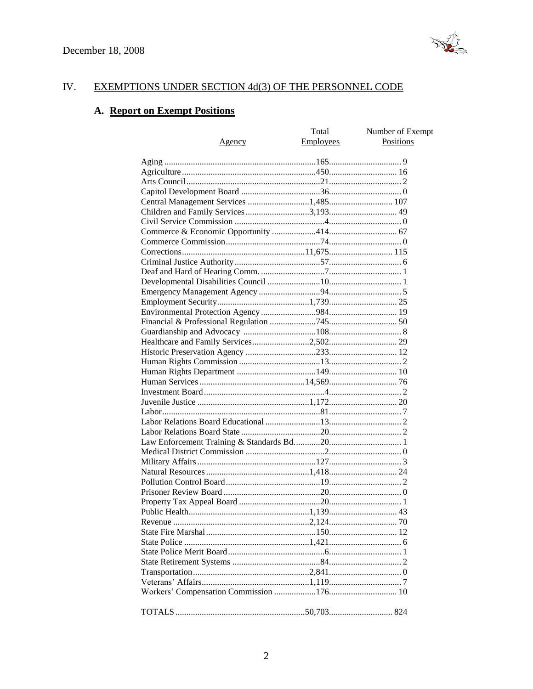

#### **EXEMPTIONS UNDER SECTION 4d(3) OF THE PERSONNEL CODE** IV.

# A. Report on Exempt Positions

| <u>Agency</u>                         | Total<br>Employees | Number of Exempt<br>Positions |
|---------------------------------------|--------------------|-------------------------------|
|                                       |                    |                               |
|                                       |                    |                               |
|                                       |                    |                               |
|                                       |                    |                               |
| Central Management Services 1,485 107 |                    |                               |
|                                       |                    |                               |
|                                       |                    |                               |
|                                       |                    |                               |
|                                       |                    |                               |
|                                       |                    |                               |
|                                       |                    |                               |
|                                       |                    |                               |
|                                       |                    |                               |
|                                       |                    |                               |
|                                       |                    |                               |
|                                       |                    |                               |
|                                       |                    |                               |
|                                       |                    |                               |
|                                       |                    |                               |
|                                       |                    |                               |
|                                       |                    |                               |
|                                       |                    |                               |
|                                       |                    |                               |
|                                       |                    |                               |
|                                       |                    |                               |
|                                       |                    |                               |
|                                       |                    |                               |
|                                       |                    |                               |
|                                       |                    |                               |
|                                       |                    |                               |
|                                       |                    |                               |
|                                       |                    |                               |
|                                       |                    |                               |
|                                       |                    |                               |
|                                       |                    |                               |
|                                       |                    |                               |
|                                       |                    |                               |
|                                       |                    |                               |
|                                       |                    |                               |
|                                       |                    |                               |
|                                       |                    |                               |
|                                       |                    |                               |
|                                       |                    |                               |
|                                       |                    |                               |
|                                       |                    |                               |
|                                       |                    |                               |
|                                       |                    |                               |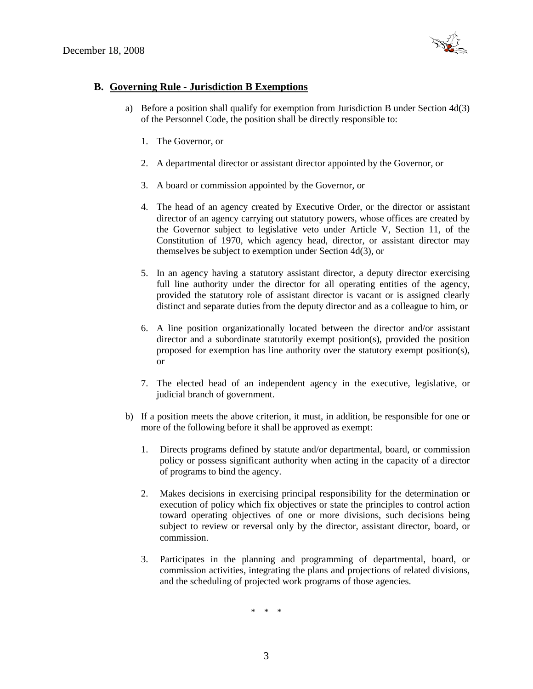

### **B. Governing Rule - Jurisdiction B Exemptions**

- a) Before a position shall qualify for exemption from Jurisdiction B under Section 4d(3) of the Personnel Code, the position shall be directly responsible to:
	- 1. The Governor, or
	- 2. A departmental director or assistant director appointed by the Governor, or
	- 3. A board or commission appointed by the Governor, or
	- 4. The head of an agency created by Executive Order, or the director or assistant director of an agency carrying out statutory powers, whose offices are created by the Governor subject to legislative veto under Article V, Section 11, of the Constitution of 1970, which agency head, director, or assistant director may themselves be subject to exemption under Section 4d(3), or
	- 5. In an agency having a statutory assistant director, a deputy director exercising full line authority under the director for all operating entities of the agency, provided the statutory role of assistant director is vacant or is assigned clearly distinct and separate duties from the deputy director and as a colleague to him, or
	- 6. A line position organizationally located between the director and/or assistant director and a subordinate statutorily exempt position(s), provided the position proposed for exemption has line authority over the statutory exempt position(s), or
	- 7. The elected head of an independent agency in the executive, legislative, or judicial branch of government.
- b) If a position meets the above criterion, it must, in addition, be responsible for one or more of the following before it shall be approved as exempt:
	- 1. Directs programs defined by statute and/or departmental, board, or commission policy or possess significant authority when acting in the capacity of a director of programs to bind the agency.
	- 2. Makes decisions in exercising principal responsibility for the determination or execution of policy which fix objectives or state the principles to control action toward operating objectives of one or more divisions, such decisions being subject to review or reversal only by the director, assistant director, board, or commission.
	- 3. Participates in the planning and programming of departmental, board, or commission activities, integrating the plans and projections of related divisions, and the scheduling of projected work programs of those agencies.

\* \* \*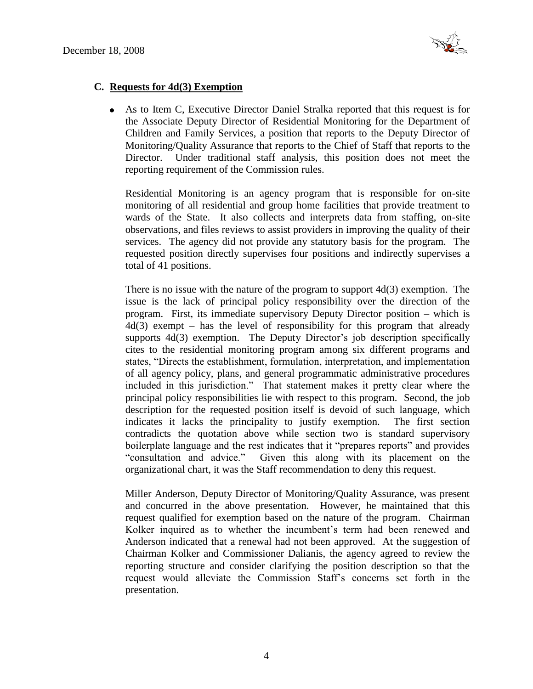

### **C. Requests for 4d(3) Exemption**

As to Item C, Executive Director Daniel Stralka reported that this request is for the Associate Deputy Director of Residential Monitoring for the Department of Children and Family Services, a position that reports to the Deputy Director of Monitoring/Quality Assurance that reports to the Chief of Staff that reports to the Director. Under traditional staff analysis, this position does not meet the reporting requirement of the Commission rules.

Residential Monitoring is an agency program that is responsible for on-site monitoring of all residential and group home facilities that provide treatment to wards of the State. It also collects and interprets data from staffing, on-site observations, and files reviews to assist providers in improving the quality of their services. The agency did not provide any statutory basis for the program. The requested position directly supervises four positions and indirectly supervises a total of 41 positions.

There is no issue with the nature of the program to support 4d(3) exemption. The issue is the lack of principal policy responsibility over the direction of the program. First, its immediate supervisory Deputy Director position – which is  $4d(3)$  exempt – has the level of responsibility for this program that already supports 4d(3) exemption. The Deputy Director's job description specifically cites to the residential monitoring program among six different programs and states, "Directs the establishment, formulation, interpretation, and implementation of all agency policy, plans, and general programmatic administrative procedures included in this jurisdiction." That statement makes it pretty clear where the principal policy responsibilities lie with respect to this program. Second, the job description for the requested position itself is devoid of such language, which indicates it lacks the principality to justify exemption. The first section contradicts the quotation above while section two is standard supervisory boilerplate language and the rest indicates that it "prepares reports" and provides "consultation and advice." Given this along with its placement on the organizational chart, it was the Staff recommendation to deny this request.

Miller Anderson, Deputy Director of Monitoring/Quality Assurance, was present and concurred in the above presentation. However, he maintained that this request qualified for exemption based on the nature of the program. Chairman Kolker inquired as to whether the incumbent's term had been renewed and Anderson indicated that a renewal had not been approved. At the suggestion of Chairman Kolker and Commissioner Dalianis, the agency agreed to review the reporting structure and consider clarifying the position description so that the request would alleviate the Commission Staff's concerns set forth in the presentation.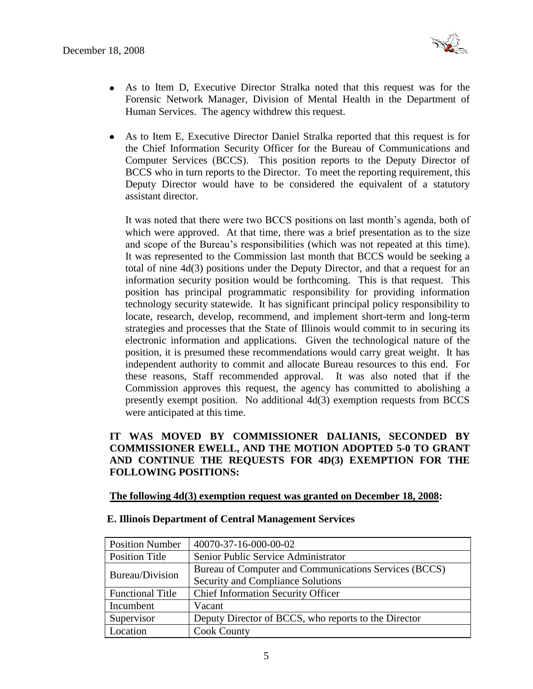

- As to Item D, Executive Director Stralka noted that this request was for the Forensic Network Manager, Division of Mental Health in the Department of Human Services. The agency withdrew this request.
- As to Item E, Executive Director Daniel Stralka reported that this request is for the Chief Information Security Officer for the Bureau of Communications and Computer Services (BCCS). This position reports to the Deputy Director of BCCS who in turn reports to the Director. To meet the reporting requirement, this Deputy Director would have to be considered the equivalent of a statutory assistant director.

It was noted that there were two BCCS positions on last month's agenda, both of which were approved. At that time, there was a brief presentation as to the size and scope of the Bureau's responsibilities (which was not repeated at this time). It was represented to the Commission last month that BCCS would be seeking a total of nine 4d(3) positions under the Deputy Director, and that a request for an information security position would be forthcoming. This is that request. This position has principal programmatic responsibility for providing information technology security statewide. It has significant principal policy responsibility to locate, research, develop, recommend, and implement short-term and long-term strategies and processes that the State of Illinois would commit to in securing its electronic information and applications. Given the technological nature of the position, it is presumed these recommendations would carry great weight. It has independent authority to commit and allocate Bureau resources to this end. For these reasons, Staff recommended approval. It was also noted that if the Commission approves this request, the agency has committed to abolishing a presently exempt position. No additional 4d(3) exemption requests from BCCS were anticipated at this time.

# **IT WAS MOVED BY COMMISSIONER DALIANIS, SECONDED BY COMMISSIONER EWELL, AND THE MOTION ADOPTED 5-0 TO GRANT AND CONTINUE THE REQUESTS FOR 4D(3) EXEMPTION FOR THE FOLLOWING POSITIONS:**

#### **The following 4d(3) exemption request was granted on December 18, 2008:**

#### **E. Illinois Department of Central Management Services**

| <b>Position Number</b>                                | 40070-37-16-000-00-02                                |  |
|-------------------------------------------------------|------------------------------------------------------|--|
| <b>Position Title</b>                                 | Senior Public Service Administrator                  |  |
| Bureau of Computer and Communications Services (BCCS) |                                                      |  |
| Bureau/Division                                       | Security and Compliance Solutions                    |  |
| <b>Functional Title</b>                               | <b>Chief Information Security Officer</b>            |  |
| Incumbent                                             | Vacant                                               |  |
| Supervisor                                            | Deputy Director of BCCS, who reports to the Director |  |
| Location                                              | <b>Cook County</b>                                   |  |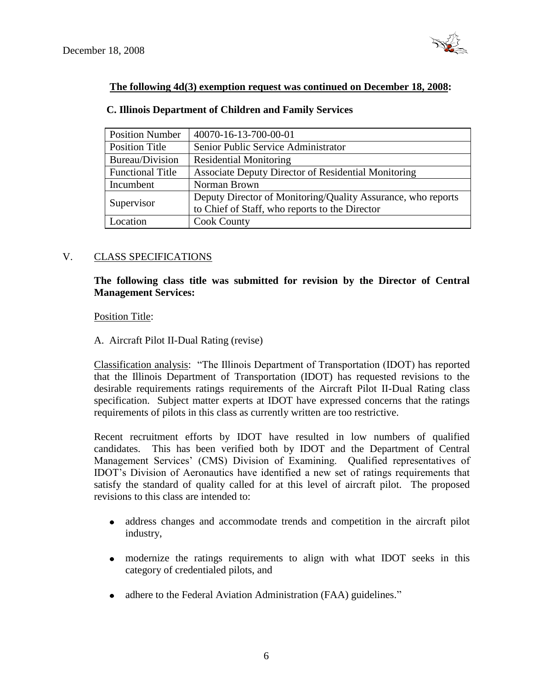

# **The following 4d(3) exemption request was continued on December 18, 2008:**

| <b>Position Number</b>  | 40070-16-13-700-00-01                                        |  |
|-------------------------|--------------------------------------------------------------|--|
| <b>Position Title</b>   | Senior Public Service Administrator                          |  |
| Bureau/Division         | <b>Residential Monitoring</b>                                |  |
| <b>Functional Title</b> | Associate Deputy Director of Residential Monitoring          |  |
| Incumbent               | Norman Brown                                                 |  |
| Supervisor              | Deputy Director of Monitoring/Quality Assurance, who reports |  |
|                         | to Chief of Staff, who reports to the Director               |  |
| Location                | <b>Cook County</b>                                           |  |

### **C. Illinois Department of Children and Family Services**

# V. CLASS SPECIFICATIONS

**The following class title was submitted for revision by the Director of Central Management Services:**

Position Title:

A. Aircraft Pilot II-Dual Rating (revise)

Classification analysis: "The Illinois Department of Transportation (IDOT) has reported that the Illinois Department of Transportation (IDOT) has requested revisions to the desirable requirements ratings requirements of the Aircraft Pilot II-Dual Rating class specification. Subject matter experts at IDOT have expressed concerns that the ratings requirements of pilots in this class as currently written are too restrictive.

Recent recruitment efforts by IDOT have resulted in low numbers of qualified candidates. This has been verified both by IDOT and the Department of Central Management Services' (CMS) Division of Examining. Qualified representatives of IDOT's Division of Aeronautics have identified a new set of ratings requirements that satisfy the standard of quality called for at this level of aircraft pilot. The proposed revisions to this class are intended to:

- address changes and accommodate trends and competition in the aircraft pilot  $\bullet$ industry,
- $\bullet$ modernize the ratings requirements to align with what IDOT seeks in this category of credentialed pilots, and
- adhere to the Federal Aviation Administration (FAA) guidelines."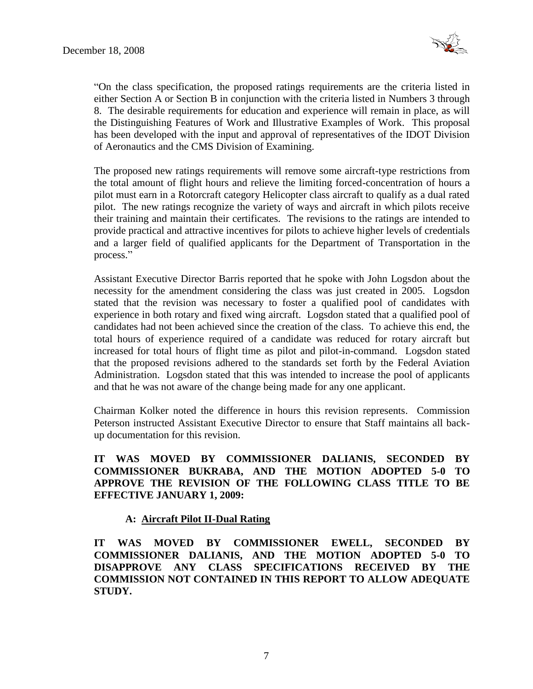

"On the class specification, the proposed ratings requirements are the criteria listed in either Section A or Section B in conjunction with the criteria listed in Numbers 3 through 8. The desirable requirements for education and experience will remain in place, as will the Distinguishing Features of Work and Illustrative Examples of Work. This proposal has been developed with the input and approval of representatives of the IDOT Division of Aeronautics and the CMS Division of Examining.

The proposed new ratings requirements will remove some aircraft-type restrictions from the total amount of flight hours and relieve the limiting forced-concentration of hours a pilot must earn in a Rotorcraft category Helicopter class aircraft to qualify as a dual rated pilot. The new ratings recognize the variety of ways and aircraft in which pilots receive their training and maintain their certificates. The revisions to the ratings are intended to provide practical and attractive incentives for pilots to achieve higher levels of credentials and a larger field of qualified applicants for the Department of Transportation in the process."

Assistant Executive Director Barris reported that he spoke with John Logsdon about the necessity for the amendment considering the class was just created in 2005. Logsdon stated that the revision was necessary to foster a qualified pool of candidates with experience in both rotary and fixed wing aircraft. Logsdon stated that a qualified pool of candidates had not been achieved since the creation of the class. To achieve this end, the total hours of experience required of a candidate was reduced for rotary aircraft but increased for total hours of flight time as pilot and pilot-in-command. Logsdon stated that the proposed revisions adhered to the standards set forth by the Federal Aviation Administration. Logsdon stated that this was intended to increase the pool of applicants and that he was not aware of the change being made for any one applicant.

Chairman Kolker noted the difference in hours this revision represents. Commission Peterson instructed Assistant Executive Director to ensure that Staff maintains all backup documentation for this revision.

# **IT WAS MOVED BY COMMISSIONER DALIANIS, SECONDED BY COMMISSIONER BUKRABA, AND THE MOTION ADOPTED 5-0 TO APPROVE THE REVISION OF THE FOLLOWING CLASS TITLE TO BE EFFECTIVE JANUARY 1, 2009:**

# **A: Aircraft Pilot II-Dual Rating**

**IT WAS MOVED BY COMMISSIONER EWELL, SECONDED BY COMMISSIONER DALIANIS, AND THE MOTION ADOPTED 5-0 TO DISAPPROVE ANY CLASS SPECIFICATIONS RECEIVED BY THE COMMISSION NOT CONTAINED IN THIS REPORT TO ALLOW ADEQUATE STUDY.**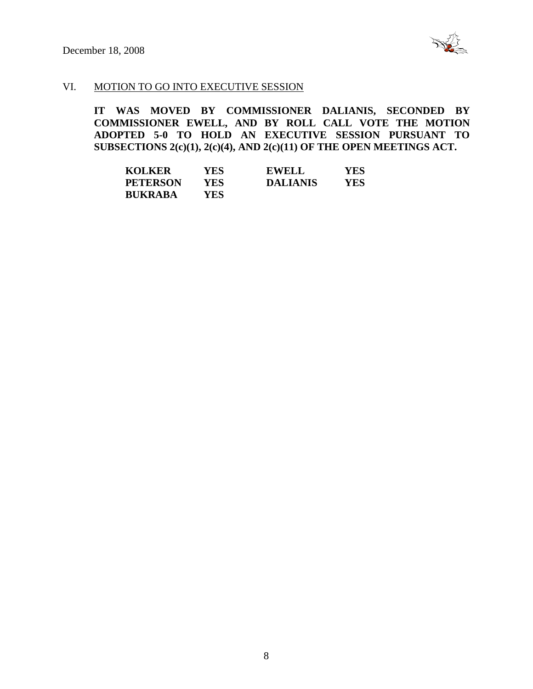

# VI. MOTION TO GO INTO EXECUTIVE SESSION

**IT WAS MOVED BY COMMISSIONER DALIANIS, SECONDED BY COMMISSIONER EWELL, AND BY ROLL CALL VOTE THE MOTION ADOPTED 5-0 TO HOLD AN EXECUTIVE SESSION PURSUANT TO SUBSECTIONS 2(c)(1), 2(c)(4), AND 2(c)(11) OF THE OPEN MEETINGS ACT.** 

| <b>KOLKER</b>  | YES  | <b>EWELL</b>    | <b>YES</b> |
|----------------|------|-----------------|------------|
| PETERSON       | YES  | <b>DALIANIS</b> | YES        |
| <b>BUKRABA</b> | YES. |                 |            |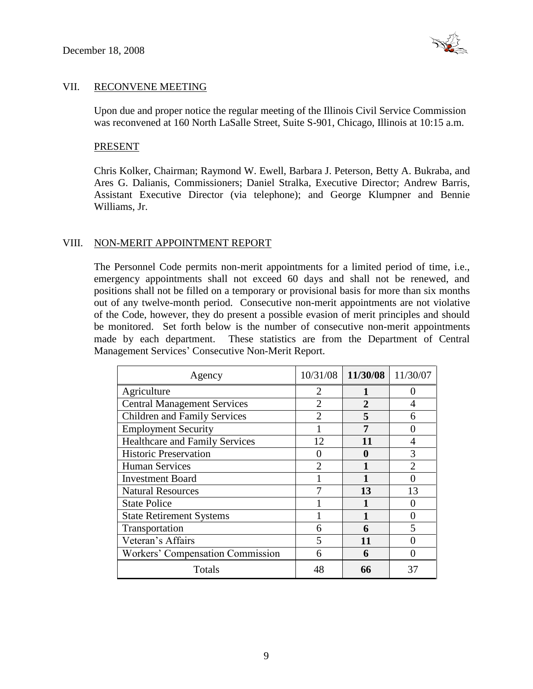

#### VII. RECONVENE MEETING

Upon due and proper notice the regular meeting of the Illinois Civil Service Commission was reconvened at 160 North LaSalle Street, Suite S-901, Chicago, Illinois at 10:15 a.m.

#### PRESENT

Chris Kolker, Chairman; Raymond W. Ewell, Barbara J. Peterson, Betty A. Bukraba, and Ares G. Dalianis, Commissioners; Daniel Stralka, Executive Director; Andrew Barris, Assistant Executive Director (via telephone); and George Klumpner and Bennie Williams, Jr.

#### VIII. NON-MERIT APPOINTMENT REPORT

The Personnel Code permits non-merit appointments for a limited period of time, i.e., emergency appointments shall not exceed 60 days and shall not be renewed, and positions shall not be filled on a temporary or provisional basis for more than six months out of any twelve-month period. Consecutive non-merit appointments are not violative of the Code, however, they do present a possible evasion of merit principles and should be monitored. Set forth below is the number of consecutive non-merit appointments made by each department. These statistics are from the Department of Central Management Services' Consecutive Non-Merit Report.

| Agency                                  | 10/31/08                    | 11/30/08     | 11/30/07 |
|-----------------------------------------|-----------------------------|--------------|----------|
| Agriculture                             | $\mathcal{D}_{\mathcal{L}}$ |              |          |
| <b>Central Management Services</b>      | $\mathfrak{D}$              | $\mathbf{2}$ |          |
| <b>Children and Family Services</b>     | $\mathfrak{D}$              | 5            | 6        |
| <b>Employment Security</b>              |                             |              |          |
| <b>Healthcare and Family Services</b>   | 12                          | 11           | 4        |
| <b>Historic Preservation</b>            |                             | O            |          |
| <b>Human Services</b>                   |                             |              |          |
| <b>Investment Board</b>                 |                             |              |          |
| <b>Natural Resources</b>                |                             | 13           | 13       |
| <b>State Police</b>                     |                             |              |          |
| <b>State Retirement Systems</b>         |                             |              |          |
| Transportation                          | 6                           | 6            |          |
| Veteran's Affairs                       |                             | 11           |          |
| <b>Workers' Compensation Commission</b> | 6                           | 6            |          |
| Totals                                  | 48                          | 66           | 37       |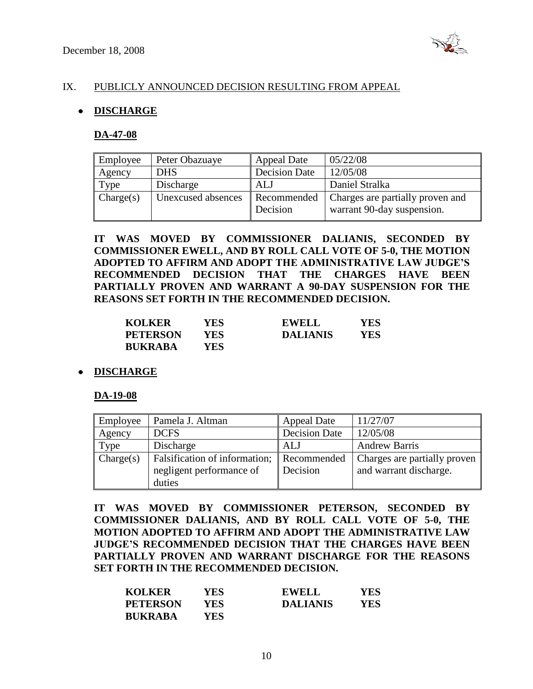

# IX. PUBLICLY ANNOUNCED DECISION RESULTING FROM APPEAL

# **DISCHARGE**

### **DA-47-08**

| Employee  | Peter Obazuaye     | <b>Appeal Date</b>      | 05/22/08                                                       |
|-----------|--------------------|-------------------------|----------------------------------------------------------------|
| Agency    | <b>DHS</b>         | <b>Decision Date</b>    | 12/05/08                                                       |
| Type      | Discharge          | ALJ                     | Daniel Stralka                                                 |
| Change(s) | Unexcused absences | Recommended<br>Decision | Charges are partially proven and<br>warrant 90-day suspension. |

**IT WAS MOVED BY COMMISSIONER DALIANIS, SECONDED BY COMMISSIONER EWELL, AND BY ROLL CALL VOTE OF 5-0, THE MOTION ADOPTED TO AFFIRM AND ADOPT THE ADMINISTRATIVE LAW JUDGE'S RECOMMENDED DECISION THAT THE CHARGES HAVE BEEN PARTIALLY PROVEN AND WARRANT A 90-DAY SUSPENSION FOR THE REASONS SET FORTH IN THE RECOMMENDED DECISION.**

| <b>KOLKER</b>   | YES. | <b>EWELL</b>    | YES |
|-----------------|------|-----------------|-----|
| <b>PETERSON</b> | YES  | <b>DALIANIS</b> | YES |
| <b>BUKRABA</b>  | YES  |                 |     |

# **DISCHARGE**

#### **DA-19-08**

| Employee  | Pamela J. Altman                                                                | <b>Appeal Date</b>   | 11/27/07                                               |
|-----------|---------------------------------------------------------------------------------|----------------------|--------------------------------------------------------|
| Agency    | <b>DCFS</b>                                                                     | <b>Decision Date</b> | 12/05/08                                               |
| Type      | Discharge                                                                       | ALJ                  | <b>Andrew Barris</b>                                   |
| Change(s) | Falsification of information; Recommended<br>negligent performance of<br>duties | Decision             | Charges are partially proven<br>and warrant discharge. |

**IT WAS MOVED BY COMMISSIONER PETERSON, SECONDED BY COMMISSIONER DALIANIS, AND BY ROLL CALL VOTE OF 5-0, THE MOTION ADOPTED TO AFFIRM AND ADOPT THE ADMINISTRATIVE LAW JUDGE'S RECOMMENDED DECISION THAT THE CHARGES HAVE BEEN PARTIALLY PROVEN AND WARRANT DISCHARGE FOR THE REASONS SET FORTH IN THE RECOMMENDED DECISION.**

| <b>KOLKER</b>   | YES        | <b>EWELL</b>    | YES |
|-----------------|------------|-----------------|-----|
| <b>PETERSON</b> | YES        | <b>DALIANIS</b> | YES |
| <b>BUKRABA</b>  | <b>YES</b> |                 |     |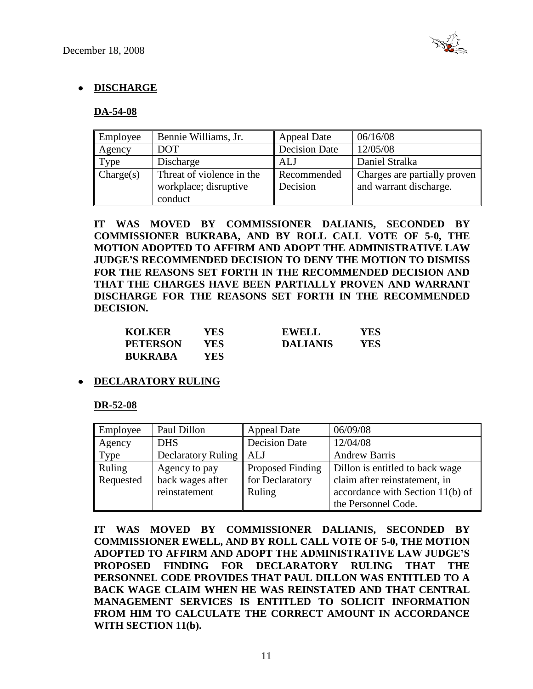

# **DISCHARGE**

# **DA-54-08**

| Employee  | Bennie Williams, Jr.                                          | <b>Appeal Date</b>      | 06/16/08                                               |
|-----------|---------------------------------------------------------------|-------------------------|--------------------------------------------------------|
| Agency    | <b>DOT</b>                                                    | <b>Decision Date</b>    | 12/05/08                                               |
| Type      | Discharge                                                     | ALJ                     | Daniel Stralka                                         |
| Change(s) | Threat of violence in the<br>workplace; disruptive<br>conduct | Recommended<br>Decision | Charges are partially proven<br>and warrant discharge. |

**IT WAS MOVED BY COMMISSIONER DALIANIS, SECONDED BY COMMISSIONER BUKRABA, AND BY ROLL CALL VOTE OF 5-0, THE MOTION ADOPTED TO AFFIRM AND ADOPT THE ADMINISTRATIVE LAW JUDGE'S RECOMMENDED DECISION TO DENY THE MOTION TO DISMISS FOR THE REASONS SET FORTH IN THE RECOMMENDED DECISION AND THAT THE CHARGES HAVE BEEN PARTIALLY PROVEN AND WARRANT DISCHARGE FOR THE REASONS SET FORTH IN THE RECOMMENDED DECISION.**

| <b>KOLKER</b>   | YES  | <b>EWELL</b>    | YES. |
|-----------------|------|-----------------|------|
| <b>PETERSON</b> | YES  | <b>DALIANIS</b> | YES. |
| <b>BUKRABA</b>  | YES. |                 |      |

# **DECLARATORY RULING**

# **DR-52-08**

| Employee  | Paul Dillon               | <b>Appeal Date</b>   | 06/09/08                         |
|-----------|---------------------------|----------------------|----------------------------------|
| Agency    | <b>DHS</b>                | <b>Decision Date</b> | 12/04/08                         |
| Type      | <b>Declaratory Ruling</b> | ALJ                  | <b>Andrew Barris</b>             |
| Ruling    | Agency to pay             | Proposed Finding     | Dillon is entitled to back wage  |
| Requested | back wages after          | for Declaratory      | claim after reinstatement, in    |
|           | reinstatement             | <b>Ruling</b>        | accordance with Section 11(b) of |
|           |                           |                      | the Personnel Code.              |

**IT WAS MOVED BY COMMISSIONER DALIANIS, SECONDED BY COMMISSIONER EWELL, AND BY ROLL CALL VOTE OF 5-0, THE MOTION ADOPTED TO AFFIRM AND ADOPT THE ADMINISTRATIVE LAW JUDGE'S PROPOSED FINDING FOR DECLARATORY RULING THAT THE PERSONNEL CODE PROVIDES THAT PAUL DILLON WAS ENTITLED TO A BACK WAGE CLAIM WHEN HE WAS REINSTATED AND THAT CENTRAL MANAGEMENT SERVICES IS ENTITLED TO SOLICIT INFORMATION FROM HIM TO CALCULATE THE CORRECT AMOUNT IN ACCORDANCE WITH SECTION 11(b).**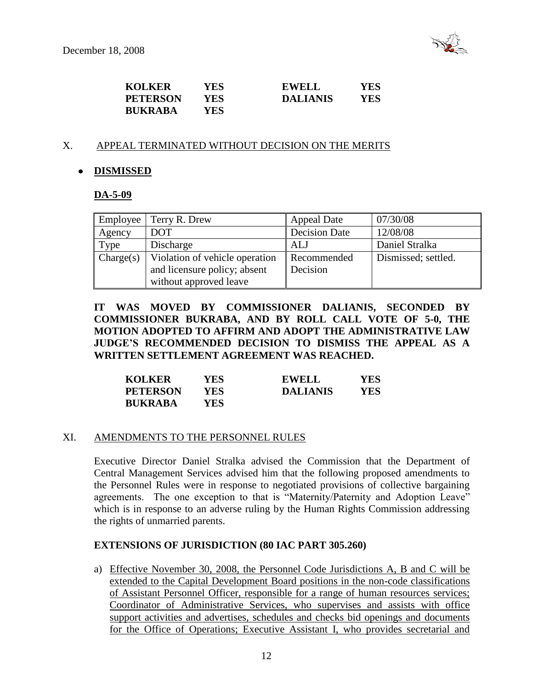

| <b>KOLKER</b>   | YES  | <b>EWELL</b>    | <b>YES</b> |
|-----------------|------|-----------------|------------|
| <b>PETERSON</b> | YES. | <b>DALIANIS</b> | YES        |
| <b>BUKRABA</b>  | YES  |                 |            |

### X. APPEAL TERMINATED WITHOUT DECISION ON THE MERITS

# **DISMISSED**

#### **DA-5-09**

| Employee  | Terry R. Drew                  | <b>Appeal Date</b>   | 07/30/08            |
|-----------|--------------------------------|----------------------|---------------------|
| Agency    | <b>DOT</b>                     | <b>Decision Date</b> | 12/08/08            |
| Type      | Discharge                      | ALJ                  | Daniel Stralka      |
| Change(s) | Violation of vehicle operation | Recommended          | Dismissed; settled. |
|           | and licensure policy; absent   | Decision             |                     |
|           | without approved leave         |                      |                     |

**IT WAS MOVED BY COMMISSIONER DALIANIS, SECONDED BY COMMISSIONER BUKRABA, AND BY ROLL CALL VOTE OF 5-0, THE MOTION ADOPTED TO AFFIRM AND ADOPT THE ADMINISTRATIVE LAW JUDGE'S RECOMMENDED DECISION TO DISMISS THE APPEAL AS A WRITTEN SETTLEMENT AGREEMENT WAS REACHED.**

| <b>KOLKER</b>   | YES | <b>EWELL</b>    | YES |
|-----------------|-----|-----------------|-----|
| <b>PETERSON</b> | YES | <b>DALIANIS</b> | YES |
| <b>BUKRABA</b>  | YES |                 |     |

#### XI. AMENDMENTS TO THE PERSONNEL RULES

Executive Director Daniel Stralka advised the Commission that the Department of Central Management Services advised him that the following proposed amendments to the Personnel Rules were in response to negotiated provisions of collective bargaining agreements. The one exception to that is "Maternity/Paternity and Adoption Leave" which is in response to an adverse ruling by the Human Rights Commission addressing the rights of unmarried parents.

# **EXTENSIONS OF JURISDICTION (80 IAC PART 305.260)**

a) Effective November 30, 2008, the Personnel Code Jurisdictions A, B and C will be extended to the Capital Development Board positions in the non-code classifications of Assistant Personnel Officer, responsible for a range of human resources services; Coordinator of Administrative Services, who supervises and assists with office support activities and advertises, schedules and checks bid openings and documents for the Office of Operations; Executive Assistant I, who provides secretarial and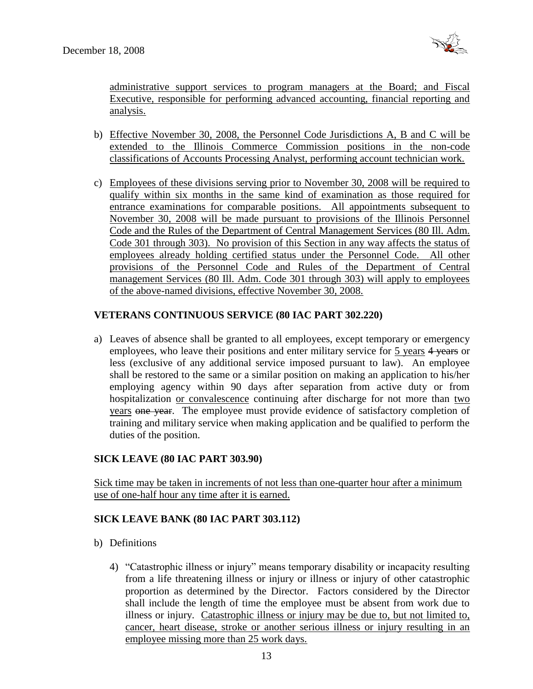

administrative support services to program managers at the Board; and Fiscal Executive, responsible for performing advanced accounting, financial reporting and analysis.

- b) Effective November 30, 2008, the Personnel Code Jurisdictions A, B and C will be extended to the Illinois Commerce Commission positions in the non-code classifications of Accounts Processing Analyst, performing account technician work.
- c) Employees of these divisions serving prior to November 30, 2008 will be required to qualify within six months in the same kind of examination as those required for entrance examinations for comparable positions. All appointments subsequent to November 30, 2008 will be made pursuant to provisions of the Illinois Personnel Code and the Rules of the Department of Central Management Services (80 Ill. Adm. Code 301 through 303). No provision of this Section in any way affects the status of employees already holding certified status under the Personnel Code. All other provisions of the Personnel Code and Rules of the Department of Central management Services (80 Ill. Adm. Code 301 through 303) will apply to employees of the above-named divisions, effective November 30, 2008.

# **VETERANS CONTINUOUS SERVICE (80 IAC PART 302.220)**

a) Leaves of absence shall be granted to all employees, except temporary or emergency employees, who leave their positions and enter military service for 5 years 4 years or less (exclusive of any additional service imposed pursuant to law). An employee shall be restored to the same or a similar position on making an application to his/her employing agency within 90 days after separation from active duty or from hospitalization or convalescence continuing after discharge for not more than two years one year. The employee must provide evidence of satisfactory completion of training and military service when making application and be qualified to perform the duties of the position.

# **SICK LEAVE (80 IAC PART 303.90)**

Sick time may be taken in increments of not less than one-quarter hour after a minimum use of one-half hour any time after it is earned.

# **SICK LEAVE BANK (80 IAC PART 303.112)**

- b) Definitions
	- 4) "Catastrophic illness or injury" means temporary disability or incapacity resulting from a life threatening illness or injury or illness or injury of other catastrophic proportion as determined by the Director. Factors considered by the Director shall include the length of time the employee must be absent from work due to illness or injury. Catastrophic illness or injury may be due to, but not limited to, cancer, heart disease, stroke or another serious illness or injury resulting in an employee missing more than 25 work days.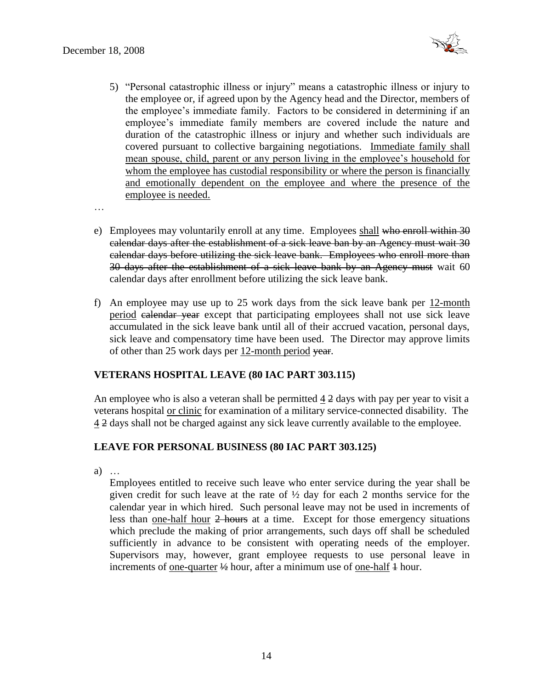

5) "Personal catastrophic illness or injury" means a catastrophic illness or injury to the employee or, if agreed upon by the Agency head and the Director, members of the employee's immediate family. Factors to be considered in determining if an employee's immediate family members are covered include the nature and duration of the catastrophic illness or injury and whether such individuals are covered pursuant to collective bargaining negotiations. Immediate family shall mean spouse, child, parent or any person living in the employee's household for whom the employee has custodial responsibility or where the person is financially and emotionally dependent on the employee and where the presence of the employee is needed.

…

- e) Employees may voluntarily enroll at any time. Employees shall who enroll within 30 calendar days after the establishment of a sick leave ban by an Agency must wait 30 calendar days before utilizing the sick leave bank. Employees who enroll more than 30 days after the establishment of a sick leave bank by an Agency must wait 60 calendar days after enrollment before utilizing the sick leave bank.
- f) An employee may use up to 25 work days from the sick leave bank per 12-month period calendar year except that participating employees shall not use sick leave accumulated in the sick leave bank until all of their accrued vacation, personal days, sick leave and compensatory time have been used. The Director may approve limits of other than 25 work days per 12-month period year.

# **VETERANS HOSPITAL LEAVE (80 IAC PART 303.115)**

An employee who is also a veteran shall be permitted 4 2 days with pay per year to visit a veterans hospital or clinic for examination of a military service-connected disability. The 4 2 days shall not be charged against any sick leave currently available to the employee.

# **LEAVE FOR PERSONAL BUSINESS (80 IAC PART 303.125)**

a) …

Employees entitled to receive such leave who enter service during the year shall be given credit for such leave at the rate of  $\frac{1}{2}$  day for each 2 months service for the calendar year in which hired. Such personal leave may not be used in increments of less than one-half hour 2 hours at a time. Except for those emergency situations which preclude the making of prior arrangements, such days off shall be scheduled sufficiently in advance to be consistent with operating needs of the employer. Supervisors may, however, grant employee requests to use personal leave in increments of one-quarter  $\frac{1}{2}$  hour, after a minimum use of one-half  $\frac{1}{2}$  hour.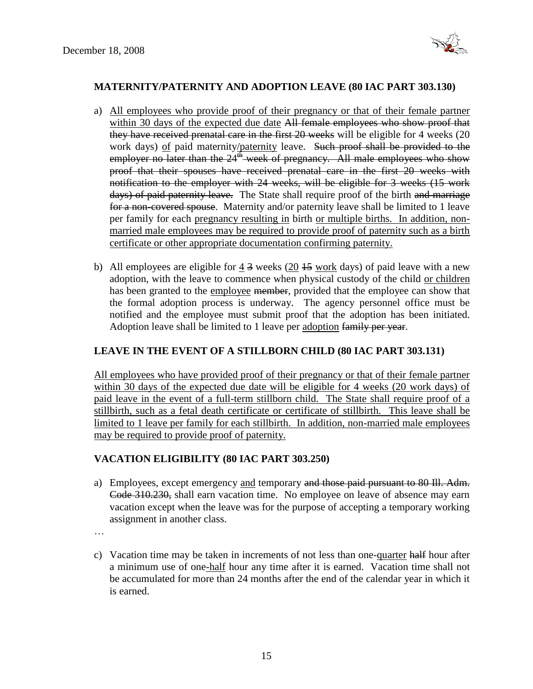

# **MATERNITY/PATERNITY AND ADOPTION LEAVE (80 IAC PART 303.130)**

- a) All employees who provide proof of their pregnancy or that of their female partner within 30 days of the expected due date All female employees who show proof that they have received prenatal care in the first 20 weeks will be eligible for 4 weeks (20) work days) of paid maternity/paternity leave. Such proof shall be provided to the employer no later than the  $24^{th}$  week of pregnancy. All male employees who show proof that their spouses have received prenatal care in the first 20 weeks with notification to the employer with 24 weeks, will be eligible for 3 weeks (15 work days) of paid paternity leave. The State shall require proof of the birth and marriage for a non-covered spouse. Maternity and/or paternity leave shall be limited to 1 leave per family for each pregnancy resulting in birth or multiple births. In addition, nonmarried male employees may be required to provide proof of paternity such as a birth certificate or other appropriate documentation confirming paternity.
- b) All employees are eligible for 4 3 weeks (20 15 work days) of paid leave with a new adoption, with the leave to commence when physical custody of the child or children has been granted to the employee member, provided that the employee can show that the formal adoption process is underway. The agency personnel office must be notified and the employee must submit proof that the adoption has been initiated. Adoption leave shall be limited to 1 leave per adoption family per year.

# **LEAVE IN THE EVENT OF A STILLBORN CHILD (80 IAC PART 303.131)**

All employees who have provided proof of their pregnancy or that of their female partner within 30 days of the expected due date will be eligible for 4 weeks (20 work days) of paid leave in the event of a full-term stillborn child. The State shall require proof of a stillbirth, such as a fetal death certificate or certificate of stillbirth. This leave shall be limited to 1 leave per family for each stillbirth. In addition, non-married male employees may be required to provide proof of paternity.

# **VACATION ELIGIBILITY (80 IAC PART 303.250)**

- a) Employees, except emergency and temporary and those paid pursuant to 80 Ill. Adm. Code 310.230, shall earn vacation time. No employee on leave of absence may earn vacation except when the leave was for the purpose of accepting a temporary working assignment in another class.
- …
- c) Vacation time may be taken in increments of not less than one-quarter half hour after a minimum use of one-half hour any time after it is earned. Vacation time shall not be accumulated for more than 24 months after the end of the calendar year in which it is earned.